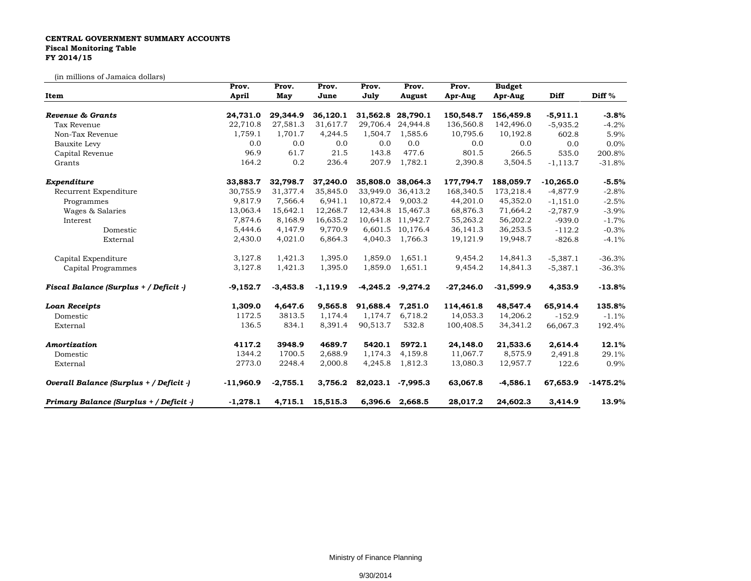## **CENTRAL GOVERNMENT SUMMARY ACCOUNTS Fiscal Monitoring Table FY 2014/15**

(in millions of Jamaica dollars)

| Item                                    | Prov.        | Prov.      | Prov.            | Prov.    | Prov.             | Prov.       | <b>Budget</b> |             |                   |
|-----------------------------------------|--------------|------------|------------------|----------|-------------------|-------------|---------------|-------------|-------------------|
|                                         | <b>April</b> | May        | June             | July     | August            | Apr-Aug     | Apr-Aug       | <b>Diff</b> | Diff <sup>%</sup> |
| Revenue & Grants                        | 24,731.0     | 29,344.9   | 36,120.1         | 31,562.8 | 28,790.1          | 150,548.7   | 156,459.8     | $-5,911.1$  | $-3.8%$           |
| Tax Revenue                             | 22,710.8     | 27,581.3   | 31,617.7         | 29,706.4 | 24,944.8          | 136,560.8   | 142,496.0     | $-5,935.2$  | $-4.2%$           |
| Non-Tax Revenue                         | 1,759.1      | 1,701.7    | 4,244.5          | 1,504.7  | 1,585.6           | 10,795.6    | 10,192.8      | 602.8       | 5.9%              |
| Bauxite Levy                            | 0.0          | 0.0        | 0.0              | 0.0      | 0.0               | 0.0         | 0.0           | 0.0         | 0.0%              |
| Capital Revenue                         | 96.9         | 61.7       | 21.5             | 143.8    | 477.6             | 801.5       | 266.5         | 535.0       | 200.8%            |
| Grants                                  | 164.2        | 0.2        | 236.4            | 207.9    | 1,782.1           | 2,390.8     | 3,504.5       | $-1, 113.7$ | $-31.8%$          |
| Expenditure                             | 33,883.7     | 32,798.7   | 37,240.0         | 35,808.0 | 38,064.3          | 177,794.7   | 188,059.7     | $-10,265.0$ | $-5.5%$           |
| Recurrent Expenditure                   | 30,755.9     | 31,377.4   | 35,845.0         | 33,949.0 | 36,413.2          | 168,340.5   | 173,218.4     | $-4,877.9$  | $-2.8%$           |
| Programmes                              | 9,817.9      | 7,566.4    | 6,941.1          | 10,872.4 | 9,003.2           | 44,201.0    | 45,352.0      | $-1,151.0$  | $-2.5%$           |
| Wages & Salaries                        | 13,063.4     | 15,642.1   | 12,268.7         | 12,434.8 | 15,467.3          | 68,876.3    | 71,664.2      | $-2,787.9$  | $-3.9%$           |
| Interest                                | 7,874.6      | 8,168.9    | 16,635.2         |          | 10,641.8 11,942.7 | 55,263.2    | 56,202.2      | $-939.0$    | $-1.7%$           |
| Domestic                                | 5,444.6      | 4,147.9    | 9,770.9          | 6,601.5  | 10,176.4          | 36,141.3    | 36,253.5      | $-112.2$    | $-0.3%$           |
| External                                | 2,430.0      | 4,021.0    | 6,864.3          | 4,040.3  | 1,766.3           | 19,121.9    | 19,948.7      | $-826.8$    | $-4.1%$           |
| Capital Expenditure                     | 3,127.8      | 1,421.3    | 1,395.0          | 1,859.0  | 1,651.1           | 9,454.2     | 14,841.3      | $-5,387.1$  | $-36.3%$          |
| Capital Programmes                      | 3,127.8      | 1,421.3    | 1,395.0          | 1,859.0  | 1,651.1           | 9,454.2     | 14,841.3      | $-5,387.1$  | $-36.3%$          |
| Fiscal Balance (Surplus + / Deficit -)  | $-9,152.7$   | $-3,453.8$ | $-1,119.9$       | -4,245.2 | $-9,274.2$        | $-27,246.0$ | $-31,599.9$   | 4,353.9     | $-13.8%$          |
| <b>Loan Receipts</b>                    | 1,309.0      | 4,647.6    | 9,565.8          | 91.688.4 | 7,251.0           | 114,461.8   | 48,547.4      | 65,914.4    | 135.8%            |
| Domestic                                | 1172.5       | 3813.5     | 1,174.4          | 1,174.7  | 6,718.2           | 14,053.3    | 14,206.2      | $-152.9$    | $-1.1%$           |
| External                                | 136.5        | 834.1      | 8,391.4          | 90,513.7 | 532.8             | 100,408.5   | 34,341.2      | 66,067.3    | 192.4%            |
| Amortization                            | 4117.2       | 3948.9     | 4689.7           | 5420.1   | 5972.1            | 24,148.0    | 21,533.6      | 2,614.4     | 12.1%             |
| Domestic                                | 1344.2       | 1700.5     | 2,688.9          | 1,174.3  | 4,159.8           | 11,067.7    | 8,575.9       | 2,491.8     | 29.1%             |
| External                                | 2773.0       | 2248.4     | 2,000.8          | 4,245.8  | 1,812.3           | 13,080.3    | 12,957.7      | 122.6       | 0.9%              |
| Overall Balance (Surplus + / Deficit -) | $-11,960.9$  | $-2,755.1$ | 3,756.2          | 82,023.1 | $-7,995.3$        | 63,067.8    | $-4,586.1$    | 67,653.9    | $-1475.2%$        |
| Primary Balance (Surplus + / Deficit -) | $-1,278.1$   |            | 4,715.1 15,515.3 |          | 6,396.6 2,668.5   | 28,017.2    | 24,602.3      | 3,414.9     | 13.9%             |